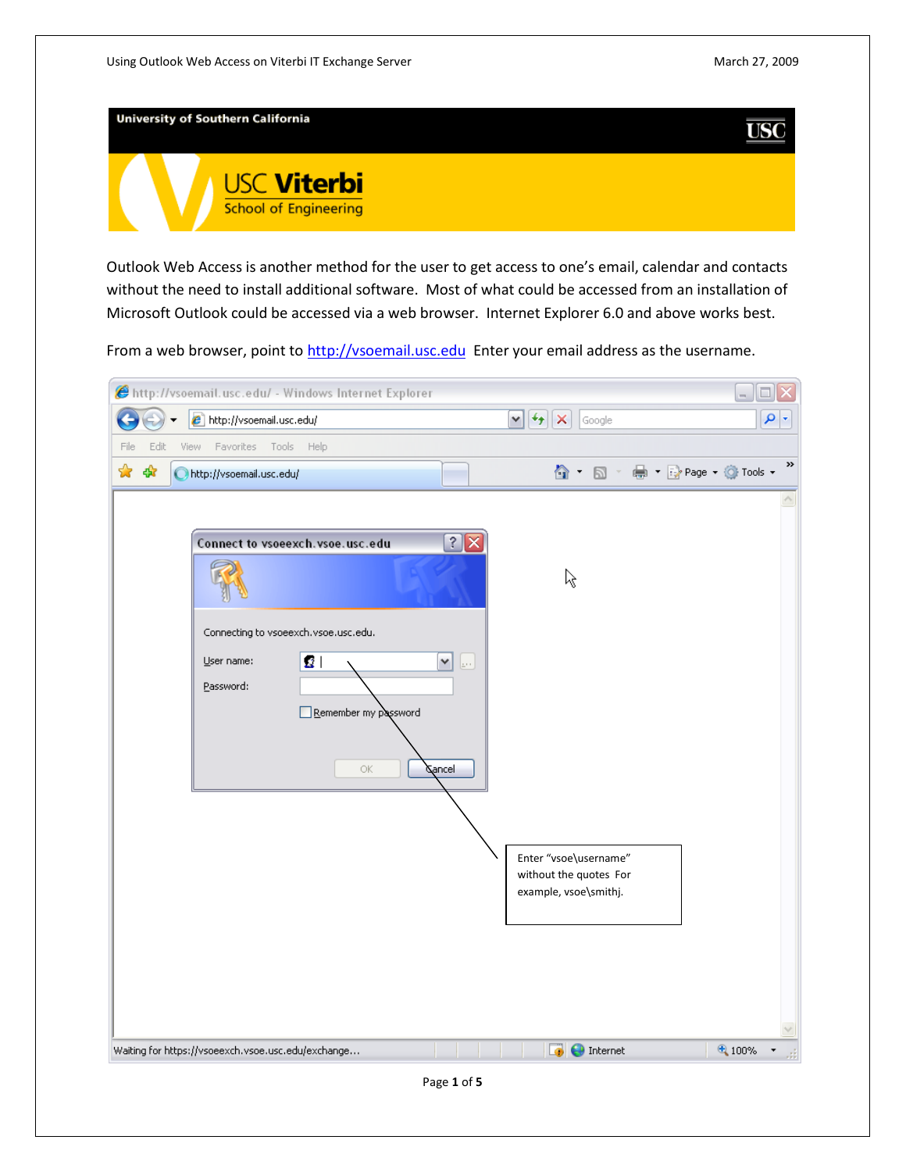

Outlook Web Access is another method for the user to get access to one's email, calendar and contacts without the need to install additional software. Most of what could be accessed from an installation of Microsoft Outlook could be accessed via a web browser. Internet Explorer 6.0 and above works best.

From a web browser, point t[o http://vsoemail.usc.edu](http://vsoemail.usc.edu/) Enter your email address as the username.

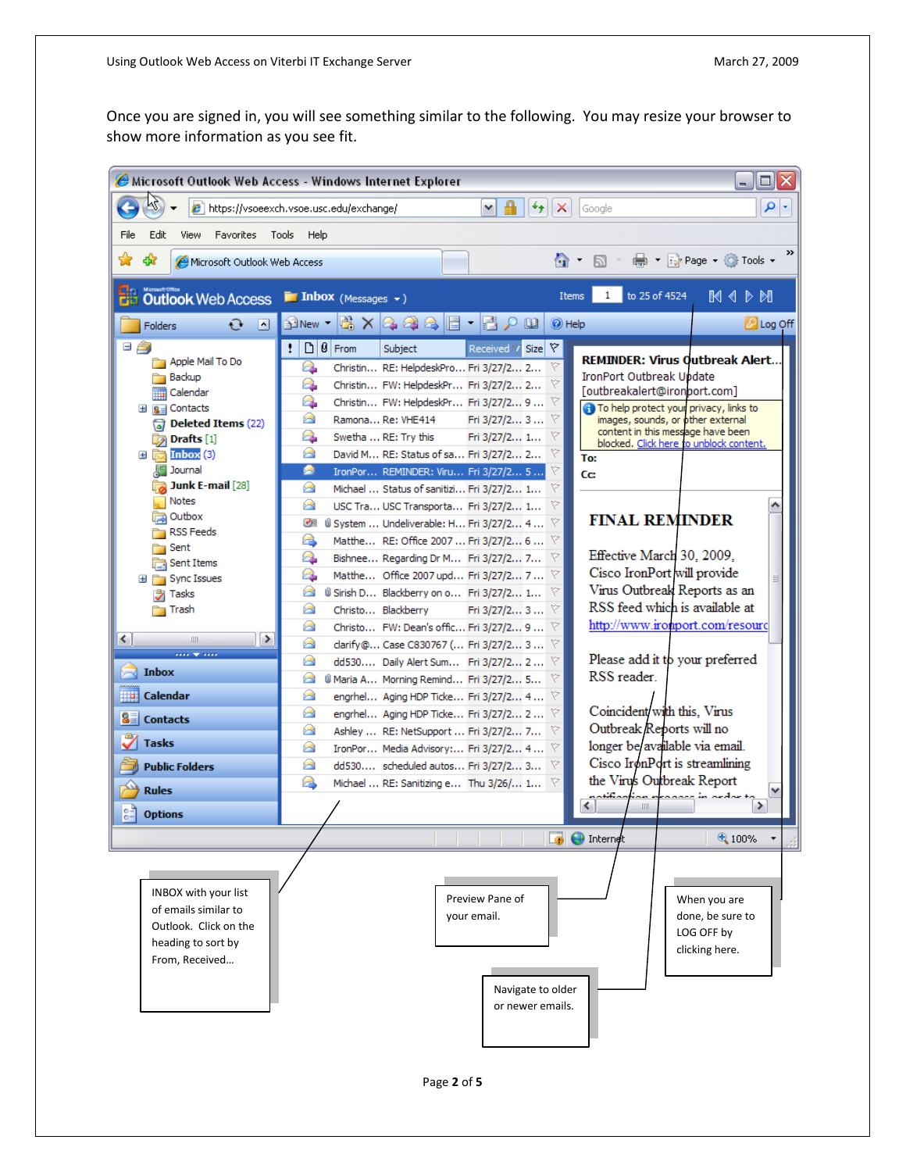Once you are signed in, you will see something similar to the following. You may resize your browser to show more information as you see fit.

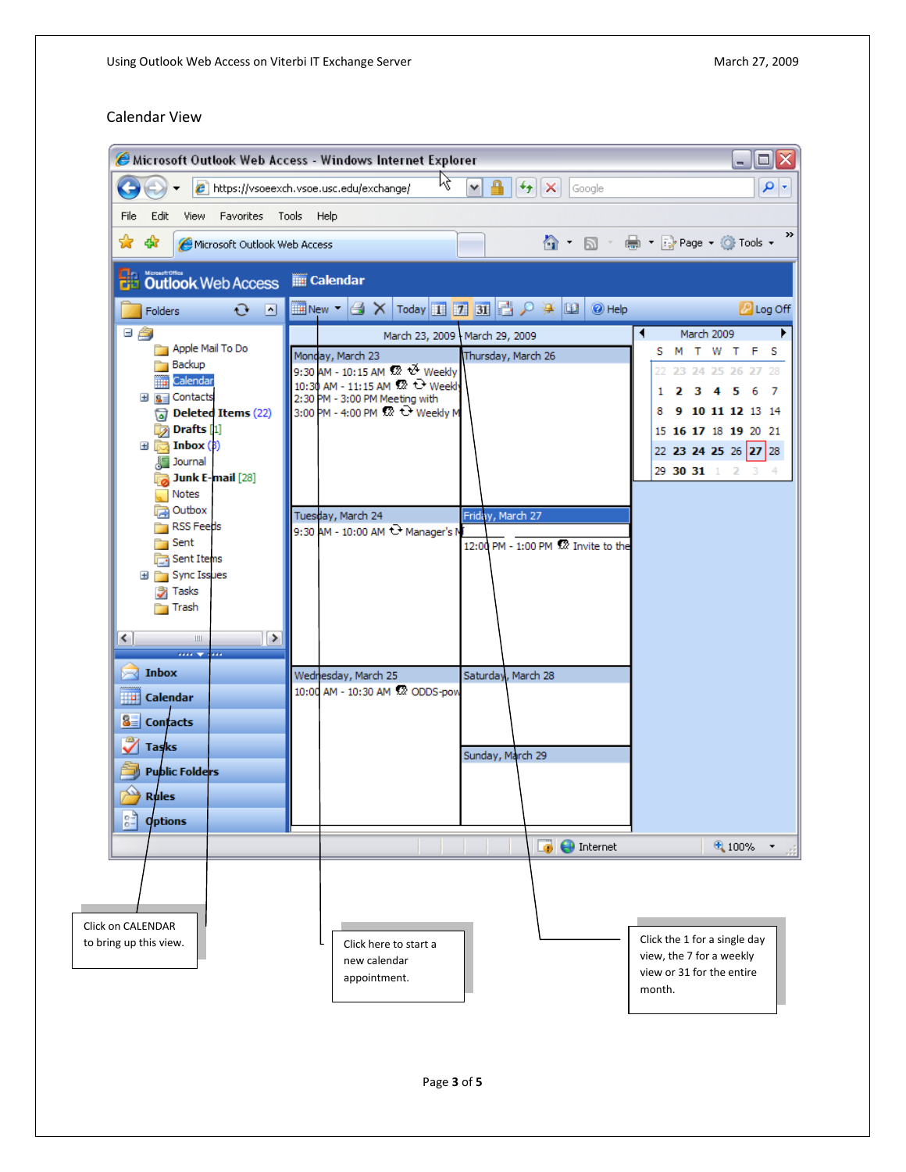## Calendar View

|                                                                                                                                                                                                                                                                                                                                                                                                                                                                                                                             | Microsoft Outlook Web Access - Windows Internet Explorer                                                                                                                                                                                                                                                                                                                                                                                                | - 101                                                                                                                                                                                      |
|-----------------------------------------------------------------------------------------------------------------------------------------------------------------------------------------------------------------------------------------------------------------------------------------------------------------------------------------------------------------------------------------------------------------------------------------------------------------------------------------------------------------------------|---------------------------------------------------------------------------------------------------------------------------------------------------------------------------------------------------------------------------------------------------------------------------------------------------------------------------------------------------------------------------------------------------------------------------------------------------------|--------------------------------------------------------------------------------------------------------------------------------------------------------------------------------------------|
|                                                                                                                                                                                                                                                                                                                                                                                                                                                                                                                             | K<br>₽<br>$\big \mathbf{y}\big $ $\mathbf{x}$   Google<br>e https://vsoeexch.vsoe.usc.edu/exchange/<br>٧                                                                                                                                                                                                                                                                                                                                                | - م                                                                                                                                                                                        |
| Favorites<br>Tools<br>File<br>Edit<br>View                                                                                                                                                                                                                                                                                                                                                                                                                                                                                  | Help                                                                                                                                                                                                                                                                                                                                                                                                                                                    |                                                                                                                                                                                            |
| ☆<br>47<br>Microsoft Outlook Web Access                                                                                                                                                                                                                                                                                                                                                                                                                                                                                     |                                                                                                                                                                                                                                                                                                                                                                                                                                                         | 合 回 - 曲 → Prage → O Tools →                                                                                                                                                                |
| <b>De Outlook</b> Web Access                                                                                                                                                                                                                                                                                                                                                                                                                                                                                                | <b>THE Calendar</b>                                                                                                                                                                                                                                                                                                                                                                                                                                     |                                                                                                                                                                                            |
| $\mathbf{G}$ $\mathbf{N}$<br><b>Folders</b>                                                                                                                                                                                                                                                                                                                                                                                                                                                                                 |                                                                                                                                                                                                                                                                                                                                                                                                                                                         | <b>P</b> Log Off                                                                                                                                                                           |
| 日合<br>Apple Mail To Do<br><b>Backup</b><br><b>Hilli</b> Calendar<br>田 B Contacts<br>$\sqrt{a}$ Deleted Items (22)<br>Drafts [1]<br>$\mathbf{H}$ $\mathbf{R}$ Inbox (3)<br><b>Journal</b><br>Junk E-mail [28]<br><b>Notes</b><br><b>Outbox</b><br><b>RSS Feeds</b><br>Sent<br>Sent Items<br>Sync Issues<br>Ξf<br>Tasks<br>Trash<br>≤<br>▷<br>$\mathbf{III}$<br><b>STATE</b><br>m.<br>$\blacktriangleright$ Inbox<br><b>D</b> Calendar<br>$\frac{2}{3}$ Contacts<br><b>Tasks</b><br>Public Folders<br>$\leftrightarrow$ Rules | March 23, 2009   March 29, 2009<br>Monday, March 23<br>Thursday, March 26<br>9:30 AM - 10:15 AM \$2 * Weekly<br>10:30 AM - 11:15 AM 22 C Weekly<br>2:30 PM - 3:00 PM Meeting with<br>3:00 PM - 4:00 PM 22 + Weekly M<br>Tuesday, March 24<br>Friday, March 27<br>9:30 AM - 10:00 AM <sup>+</sup> Manager's N<br>12:00 PM - 1:00 PM 32 Invite to the<br>Wednesday, March 25<br>Saturday, March 28<br>10:00 AM - 10:30 AM 52 ODDS-pow<br>Sunday, March 29 | ◀<br>March 2009<br>S M T W T<br>s<br>22 23 24 25 26 27 28<br>$2 \t3 \t4$<br>5<br>7<br>6<br>1.<br>9 10 11 12 13 14<br>8<br>15 16 17 18 19 20 21<br>22 23 24 25 26 27 28<br>29 30 31 1 2 3 4 |
| $\frac{1}{10}$<br><b>Options</b>                                                                                                                                                                                                                                                                                                                                                                                                                                                                                            |                                                                                                                                                                                                                                                                                                                                                                                                                                                         |                                                                                                                                                                                            |
|                                                                                                                                                                                                                                                                                                                                                                                                                                                                                                                             | <b>B</b> C Internet                                                                                                                                                                                                                                                                                                                                                                                                                                     | 4 100%                                                                                                                                                                                     |
| Click on CALENDAR<br>to bring up this view.                                                                                                                                                                                                                                                                                                                                                                                                                                                                                 | Click here to start a<br>new calendar<br>appointment.                                                                                                                                                                                                                                                                                                                                                                                                   | Click the 1 for a single day<br>view, the 7 for a weekly<br>view or 31 for the entire<br>month.                                                                                            |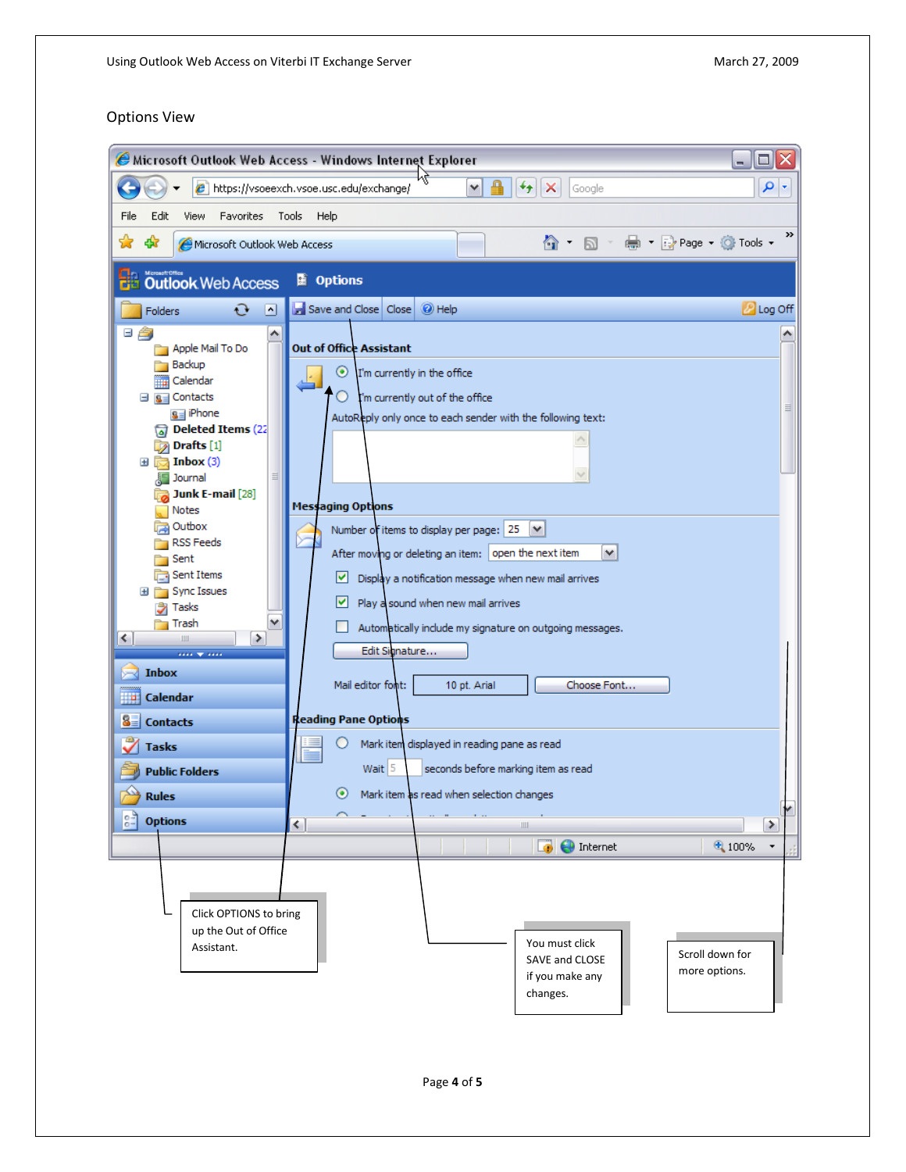## Options View